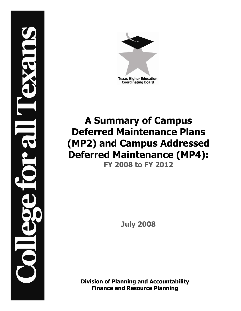

# **A Summary of Campus Deferred Maintenance Plans (MP2) and Campus Addressed Deferred Maintenance (MP4): FY 2008 to FY 2012**

**July 2008**

**Division of Planning and Accountability Finance and Resource Planning**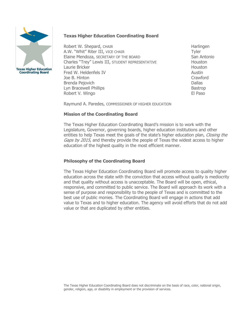

**Texas Higher Education Coordinating Board**

Robert W. Shepard, CHAIR Harlingen A.W. "Whit" Riter III, VICE CHAIR Tyler Elaine Mendoza, SECRETARY OF THE BOARD San Antonio Charles "Trey" Lewis III, STUDENT REPRESENTATIVE Houston Laurie Bricker **Houston** Houston **Houston Houston** Fred W. Heldenfels IV Austin Austin Joe B. Hinton Crawford Brenda Pejovich **Dallas** Dallas Dallas Dallas Dallas Dallas Dallas Dallas Dallas Dallas Dallas Dallas Dallas Dallas Dallas Dallas Dallas Dallas Dallas Dallas Dallas Dallas Dallas Dallas Dallas Dallas Dallas Dallas Dallas D Lyn Bracewell Phillips **Bastrop** Bastrop Robert V. Wingo **El Paso** 

Raymund A. Paredes, COMMISSIONER OF HIGHER EDUCATION

### **Mission of the Coordinating Board**

The Texas Higher Education Coordinating Board's mission is to work with the Legislature, Governor, governing boards, higher education institutions and other entities to help Texas meet the goals of the state's higher education plan, *Closing the* Gaps by 2015, and thereby provide the people of Texas the widest access to higher education of the highest quality in the most efficient manner.

# **Philosophy of the Coordinating Board**

The Texas Higher Education Coordinating Board will promote access to quality higher education across the state with the conviction that access without quality is mediocrity and that quality without access is unacceptable. The Board will be open, ethical, responsive, and committed to public service. The Board will approach its work with a sense of purpose and responsibility to the people of Texas and is committed to the best use of public monies. The Coordinating Board will engage in actions that add value to Texas and to higher education. The agency will avoid efforts that do not add value or that are duplicated by other entities.

The Texas Higher Education Coordinating Board does not discriminate on the basis of race, color, national origin, gender, religion, age, or disability in employment or the provision of services.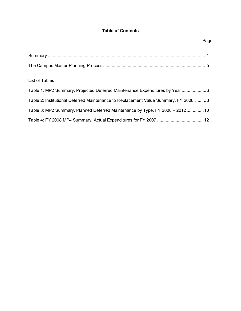# **Table of Contents**

|                                                                                     | Pag |
|-------------------------------------------------------------------------------------|-----|
|                                                                                     |     |
|                                                                                     |     |
| List of Tables                                                                      |     |
| Table 1: MP2 Summary, Projected Deferred Maintenance Expenditures by Year 6         |     |
| Table 2: Institutional Deferred Maintenance to Replacement Value Summary, FY 2008 8 |     |
| Table 3: MP2 Summary, Planned Deferred Maintenance by Type, FY 2008 - 201210        |     |

# Table 4: FY 2008 MP4 Summary, Actual Expenditures for FY 2007 ......................................12

# Page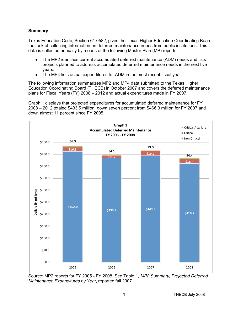## **Summary**

Texas Education Code, Section 61.0582, gives the Texas Higher Education Coordinating Board the task of collecting information on deferred maintenance needs from public institutions. This data is collected annually by means of the following Master Plan (MP) reports:

- The MP2 identifies current accumulated deferred maintenance (ADM) needs and lists projects planned to address accumulated deferred maintenance needs in the next five years.
- The MP4 lists actual expenditures for ADM in the most recent fiscal year.

The following information summarizes MP2 and MP4 data submitted to the Texas Higher Education Coordinating Board (THECB) in October 2007 and covers the deferred maintenance plans for Fiscal Years (FY) 2008 – 2012 and actual expenditures made in FY 2007.

Graph 1 displays that projected expenditures for accumulated deferred maintenance for FY 2008 – 2012 totaled \$433.5 million, down seven percent from \$466.3 million for FY 2007 and down almost 11 percent since FY 2005.



Source: MP2 reports for FY 2005 - FY 2008. See Table 1, *MP2 Summary, Projected Deferred Maintenance Expenditures by Year*, reported fall 2007.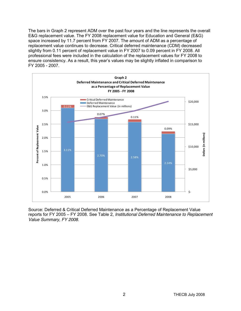The bars in Graph 2 represent ADM over the past four years and the line represents the overall E&G replacement value. The FY 2008 replacement value for Education and General (E&G) space increased by 11.7 percent from FY 2007. The amount of ADM as a percentage of replacement value continues to decrease. Critical deferred maintenance (CDM) decreased slightly from 0.11 percent of replacement value in FY 2007 to 0.09 percent in FY 2008. All professional fees were included in the calculation of the replacement values for FY 2008 to ensure consistency. As a result, this year's values may be slightly inflated in comparison to FY 2005 - 2007.



Source: Deferred & Critical Deferred Maintenance as a Percentage of Replacement Value reports for FY 2005 – FY 2008. See Table 2, *Institutional Deferred Maintenance to Replacement Value Summary, FY 2008*.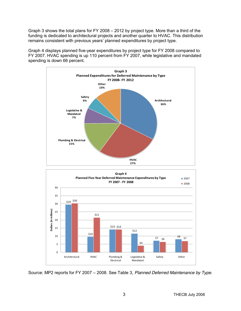Graph 3 shows the total plans for FY 2008 – 2012 by project type. More than a third of the funding is dedicated to architectural projects and another quarter to HVAC. This distribution remains consistent with previous years' planned expenditures by project type.

Graph 4 displays planned five-year expenditures by project type for FY 2008 compared to FY 2007. HVAC spending is up 110 percent from FY 2007, while legislative and mandated spending is down 66 percent.





Source: MP2 reports for FY 2007 – 2008. See Table 3, *Planned Deferred Maintenance by Type*.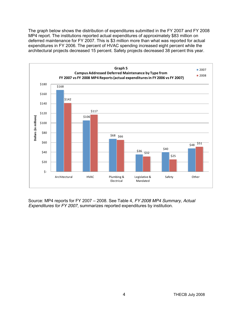The graph below shows the distribution of expenditures submitted in the FY 2007 and FY 2008 MP4 report. The institutions reported actual expenditures of approximately \$83 million on deferred maintenance for FY 2007. This is \$3 million more than what was reported for actual expenditures in FY 2006. The percent of HVAC spending increased eight percent while the architectural projects decreased 15 percent. Safety projects decreased 38 percent this year.



Source: MP4 reports for FY 2007 – 2008. See Table 4, *FY 2008 MP4 Summary, Actual Expenditures for FY 2007*, summarizes reported expenditures by institution.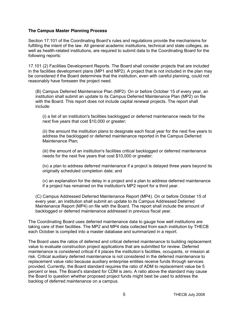#### **The Campus Master Planning Process**

Section 17.101 of the Coordinating Board's rules and regulations provide the mechanisms for fulfilling the intent of the law. All general academic institutions, technical and state colleges, as well as health-related institutions, are required to submit data to the Coordinating Board for the following reports:

17.101 (2) Facilities Development Reports. The Board shall consider projects that are included in the facilities development plans (MP1 and MP2). A project that is not included in the plan may be considered if the Board determines that the institution, even with careful planning, could not reasonably have foreseen the project need.

(B) Campus Deferred Maintenance Plan (MP2). On or before October 15 of every year, an institution shall submit an update to its Campus Deferred Maintenance Plan (MP2) on file with the Board. This report does not include capital renewal projects. The report shall include:

(i) a list of an institution's facilities backlogged or deferred maintenance needs for the next five years that cost \$10,000 or greater;

(ii) the amount the institution plans to designate each fiscal year for the next five years to address the backlogged or deferred maintenance reported in the Campus Deferred Maintenance Plan:

(iii) the amount of an institution's facilities critical backlogged or deferred maintenance needs for the next five years that cost \$10,000 or greater;

(iv) a plan to address deferred maintenance if a project is delayed three years beyond its originally scheduled completion date; and

(v) an explanation for the delay in a project and a plan to address deferred maintenance if a project has remained on the institution's MP2 report for a third year.

(C) Campus Addressed Deferred Maintenance Report (MP4). On or before October 15 of every year, an institution shall submit an update to its Campus Addressed Deferred Maintenance Report (MP4) on file with the Board. The report shall include the amount of backlogged or deferred maintenance addressed in previous fiscal year.

The Coordinating Board uses deferred maintenance data to gauge how well institutions are taking care of their facilities. The MP2 and MP4 data collected from each institution by THECB each October is compiled into a master database and summarized in a report.

The Board uses the ratios of deferred and critical deferred maintenance to building replacement value to evaluate construction project applications that are submitted for review. Deferred maintenance is considered critical if it places the institution's facilities, occupants, or mission at risk. Critical auxiliary deferred maintenance is not considered in the deferred maintenance to replacement value ratio because auxiliary enterprise entities receive funds through services provided. Currently, the Board standard requires the ratio of ADM to replacement value be 5 percent or less. The Board's standard for CDM is zero. A ratio above the standard may cause the Board to question whether proposed project funds might best be used to address the backlog of deferred maintenance on a campus.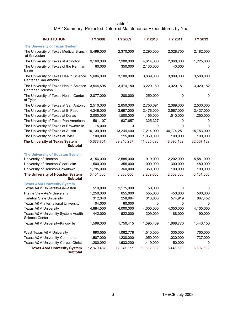#### Table 1 MP2 Summary, Projected Deferred Maintenance Expenditures by Year

| <b>INSTITUTION</b>                                                 | <b>FY 2008</b>         | <b>FY 2009</b>       | FY 2010              | FY 2011              | FY 2012              |
|--------------------------------------------------------------------|------------------------|----------------------|----------------------|----------------------|----------------------|
| <b>The University of Texas System</b>                              |                        |                      |                      |                      |                      |
| The University of Texas Medical Branch<br>at Galveston             | 5,499,000              | 2,370,000            | 2,290,000            | 2,028,700            | 2,182,000            |
| The University of Texas at Arlington                               | 9,160,000              | 7,908,000            | 4,614,000            | 2,068,000            | 1,225,000            |
| The University of Texas of the Permian<br><b>Basin</b>             | 60,000                 | 350,000              | 2,130,000            | 40,000               | 0                    |
| The University of Texas Health Science<br>Center at San Antonio    | 5,606,000              | 3,100,000            | 3,839,000            | 3,899,000            | 3,580,000            |
| The University of Texas Health Science<br>Center at Houston        | 3,544,595              | 3,474,180            | 3,220,180            | 3,020,181            | 3,020,182            |
| The University of Texas Health Center<br>at Tyler                  | 2,077,000              | 200,000              | 250,000              | 0                    | 0                    |
| The University of Texas at San Antonio                             | 2,510,000              | 2,650,000            | 2,750,691            | 2,389,000            | 2,530,000            |
| The University of Texas at El Paso                                 | 4,346,000              | 3,697,000            | 2,476,000            | 2,567,000            | 2,427,000            |
| The University of Texas at Dallas                                  | 2,000,000              | 1,500,000            | 1,155,000            | 1,510,000            | 1,250,000            |
| The University of Texas-Pan American                               | 561,107                | 637,657              | 325,327              | 0                    | 0                    |
| The University of Texas at Brownsville                             | 75,000                 | 0                    | 0                    | 0                    | 0                    |
| The University of Texas at Austin                                  | 10,139,999             | 13,244,400           | 17,214,900           | 30,774,251           | 15,753,000           |
| The University of Texas at Tyler                                   | 100,000                | 115,000              | 1,060,000            | 100,000              | 100,000              |
| The University of Texas System<br>Subtotal                         | 45,678,701             | 39,246,237           | 41,325,098           | 48,396,132           | 32,067,182           |
|                                                                    |                        |                      |                      |                      |                      |
| <b>The University of Houston System</b>                            |                        |                      |                      |                      |                      |
| University of Houston                                              | 3,156,000<br>1,500,000 | 2,585,000<br>355,000 | 919,000<br>1,000,000 | 2,202,000<br>300,000 | 5,581,000<br>480,000 |
| University of Houston-Clear Lake<br>University of Houston-Downtown | 1,795,000              | 360,000              | 350,000              | 100,000              | 100,000              |
|                                                                    |                        |                      |                      |                      |                      |
| The University of Houston System<br><b>Subtotal</b>                | 6,451,000              | 3,300,000            | 2,269,000            | 2,602,000            | 6,161,000            |
| <b>Texas A&amp;M University System</b>                             |                        |                      |                      |                      |                      |
| Texas A&M University-Galveston                                     | 510,000                | 1,175,000            | 50,000               | 0                    | 0                    |
| Prairie View A&M University                                        | 1,250,000              | 655,000              | 555,000              | 450,000              | 500,000              |
| <b>Tarleton State University</b>                                   | 312,340<br>104,000     | 258,984<br>60,000    | 313,863              | 574,919              | 867,452              |
| Texas A&M International University                                 |                        | 4,000,000            | 0<br>4,000,000       | 0                    | 0<br>4,105,000       |
| Texas A&M University<br>Texas A&M University System Health         | 4,884,500              | 522,000              | 309,000              | 4,050,000<br>188,000 | 190,000              |
| Science Center                                                     | 442,000                |                      |                      |                      |                      |
| Texas A&M University-Kingsville                                    | 1,599,000              | 1,750,415            | 1,595,439            | 1,668,770            | 1,443,150            |
| West Texas A&M University                                          | 990,555                | 1,062,778            | 1,510,000            | 335,000              | 760,000              |
| Texas A&M University-Commerce                                      | 1,507,000              | 1,230,000            | 1,050,000            | 1,030,000            | 737,000              |
| Texas A&M University-Corpus Christi                                | 1,280,092              | 1,633,200            | 1,419,000            | 150,000              | 0                    |
| <b>Texas A&amp;M University System</b><br><b>Subtotal</b>          | 12,879,487             | 12,347,377           | 10,802,302           | 8,446,689            | 8,602,602            |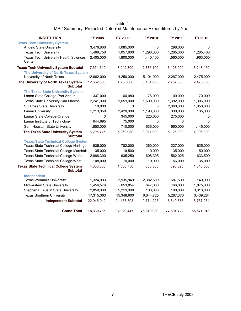#### Table 1 MP2 Summary, Projected Deferred Maintenance Expenditures by Year

| <b>INSTITUTION</b>                                             | <b>FY 2008</b> | <b>FY 2009</b> | FY 2010    | FY 2011    | FY 2012    |
|----------------------------------------------------------------|----------------|----------------|------------|------------|------------|
| <b>Texas Tech University System</b>                            |                |                |            |            |            |
| Angelo State University                                        | 3,476,860      | 1,085,000      | 0          | 298,000    | 0          |
| <b>Texas Tech University</b>                                   | 1,469,750      | 1,057,800      | 1,296,000  | 1,265,000  | 1,285,400  |
| Texas Tech University Health Sciences<br>Center                | 2,405,000      | 1,800,000      | 1,440,100  | 1,560,000  | 1,963,050  |
| <b>Texas Tech University System Subtotal</b>                   | 7,351,610      | 3,942,800      | 2,736,100  | 3,123,000  | 3,248,450  |
| The University of North Texas System                           |                |                |            |            |            |
| University of North Texas                                      | 12,662,000     | 4,250,000      | 5,104,000  | 2,267,000  | 2,475,000  |
| The University of North Texas System<br><b>Subtotal</b>        | 12,662,000     | 4,250,000      | 5,104,000  | 2,267,000  | 2,475,000  |
| <b>The Texas State University System</b>                       |                |                |            |            |            |
| Lamar State College-Port Arthur                                | 337,000        | 60,980         | 176,000    | 109,000    | 70,000     |
| Texas State University-San Marcos                              | 2,241,000      | 1,659,000      | 1,690,000  | 1,392,000  | 1,306,000  |
| Sul Ross State University                                      | 10,000         | 0              | 0          | 2,360,000  | 1,350,000  |
| <b>Lamar University</b>                                        | 1,213,050      | 2,420,000      | 1,190,000  | 330,000    | 135,000    |
| Lamar State College-Orange                                     | 0              | 345,000        | 220,000    | 275,000    | 0          |
| Lamar Institute of Technology                                  | 644,695        | 75,000         | 0          | 0          | 0          |
| Sam Houston State University                                   | 1,850,000      | 710,000        | 635,000    | 660,000    | 1,145,000  |
| The Texas State University System<br><b>Subtotal</b>           | 6,295,745      | 5,269,980      | 3,911,000  | 5,126,000  | 4,006,000  |
| <b>Texas State Technical College System</b>                    |                |                |            |            |            |
| Texas State Technical College-Harlingen                        | 935,000        | 782,000        | 260,000    | 237,000    | 625,000    |
| <b>Texas State Technical College-Marshall</b>                  | 35,000         | 19,500         | 10,000     | 35,000     | 50,000     |
| Texas State Technical College-Waco                             | 2,988,300      | 635,250        | 608,305    | 562,025    | 633,500    |
| <b>Texas State Technical College-West</b>                      | 108,000        | 70,000         | 10,000     | 56,000     | 35,000     |
| <b>Texas State Technical College System</b><br><b>Subtotal</b> | 4,066,300      | 1,506,750      | 888,305    | 890,025    | 1,343,500  |
| Independent                                                    |                |                |            |            |            |
| <b>Texas Woman's University</b>                                | 1,324,003      | 2,935,849      | 2,382,500  | 687,500    | 140,000    |
| Midwestern State University                                    | 1,456,576      | 653,854        | 647,000    | 766,000    | 1,875,000  |
| Stephen F. Austin State University                             | 2,850,000      | 5,219,000      | 100,000    | 100,000    | 3,313,000  |
| <b>Texas Southern University</b>                               | 17,315,363     | 15,348,600     | 6,644,725  | 5,287,376  | 3,439,284  |
| <b>Independent Subtotal</b>                                    | 22,945,942     | 24, 157, 303   | 9,774,225  | 6,840,876  | 8,767,284  |
| <b>Grand Total</b>                                             | 118,330,785    | 94,020,447     | 76,810,030 | 77,691,722 | 66,671,018 |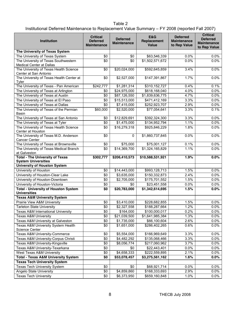#### Table 2 Institutional Deferred Maintenance to Replacement Value Summary – FY 2008 (reported Fall 2007)

| Institution                                                          | <b>Critical</b><br><b>Deferred</b><br><b>Maintenance</b> | <b>Deferred</b><br><b>Maintenance</b> | E&G<br>Replacement<br><b>Value</b> | <b>Deferred</b><br><b>Maintenance</b><br>to Rep Value | <b>Critical</b><br><b>Deferred</b><br><b>Maintenance</b><br>to Rep Value |
|----------------------------------------------------------------------|----------------------------------------------------------|---------------------------------------|------------------------------------|-------------------------------------------------------|--------------------------------------------------------------------------|
| The University of Texas System                                       |                                                          |                                       |                                    |                                                       |                                                                          |
| The University of Texas System                                       | \$0                                                      | \$0                                   | \$63,546,339                       | 0.0%                                                  | 0.0%                                                                     |
| The University of Texas Southwestern<br>Medical Center at Dallas     | $\overline{50}$                                          | \$0                                   | \$1,502,571,672                    | $0.0\%$                                               | 0.0%                                                                     |
| The University of Texas Health Science<br>Center at San Antonio      | \$0                                                      | \$20,024,000                          | \$592,645,859                      | 3.4%                                                  | 0.0%                                                                     |
| The University of Texas Health Center at<br>Tyler                    | \$0                                                      | $\overline{$}2,527,000$               | \$147,391,867                      | 1.7%                                                  | 0.0%                                                                     |
| The University of Texas - Pan American                               | \$242,777                                                | \$1,281,314                           | \$310,152,727                      | 0.4%                                                  | 0.1%                                                                     |
| The University of Texas at Arlington                                 | \$0                                                      | \$24,975,000                          | \$618,168,040                      | 4.0%                                                  | 0.0%                                                                     |
| The University of Texas at Austin                                    | $\sqrt{6}$                                               | \$87,126,550                          | \$1,839,636,775                    | 4.7%                                                  | 0.0%                                                                     |
| The University of Texas at El Paso                                   | \$0                                                      | \$15,513,000                          | \$471,412,169                      | 3.3%                                                  | 0.0%                                                                     |
| The University of Texas at Dallas                                    | \$0                                                      | $\overline{$}7,415,000$               | \$252,923,707                      | 2.9%                                                  | 0.0%                                                                     |
| The University of Texas of the Permian<br><b>Basin</b>               | \$60,000                                                 | \$2,520,000                           | \$77,054,641                       | 3.3%                                                  | 0.1%                                                                     |
| The University of Texas at San Antonio                               | \$0                                                      | \$12,829,691                          | \$392,324,300                      | 3.3%                                                  | 0.0%                                                                     |
| The University of Texas at Tyler                                     | \$0                                                      | \$1,475,000                           | \$134,952,794                      | 1.1%                                                  | 0.0%                                                                     |
| The University of Texas Health Science<br>Center at Houston          | \$0                                                      | \$16,279,318                          | \$925,846,229                      | 1.8%                                                  | 0.0%                                                                     |
| The University of Texas M.D. Anderson<br>Cancer Center               | \$0                                                      | $\mathbf 0$                           | \$1,860,737,845                    | 0.0%                                                  | 0.0%                                                                     |
| The University of Texas at Brownsville                               | \$0                                                      | \$75,000                              | \$75,001,127                       | 0.1%                                                  | 0.0%                                                                     |
| The University of Texas Medical Branch<br>at Galveston               | \$0                                                      | \$14,369,700                          | \$1,324,165,829                    | 1.1%                                                  | 0.0%                                                                     |
| <b>Total - The University of Texas</b><br><b>System Universities</b> | \$302,777                                                | \$206,410,573                         | \$10,588,531,921                   | 1.9%                                                  | 0.0%                                                                     |
| <b>University of Houston System</b>                                  |                                                          |                                       |                                    |                                                       |                                                                          |
| University of Houston                                                | \$0                                                      | \$14,443,000                          | \$993,128,713                      | 1.5%                                                  | 0.0%                                                                     |
| University of Houston-Clear Lake                                     | \$0                                                      | \$3,635,000                           | \$150,332,873                      | 2.4%                                                  | 0.0%                                                                     |
| University of Houston-Downtown                                       | \$0                                                      | \$2,705,000                           | \$175,701,552                      | 1.5%                                                  | 0.0%                                                                     |
| University of Houston-Victoria                                       | \$0                                                      | \$0                                   | \$23,451,558                       | 0.0%                                                  | 0.0%                                                                     |
| <b>Total - University of Houston System</b><br><b>Universities</b>   | \$0                                                      | \$20,783,000                          | \$1,342,614,695                    | 1.5%                                                  | 0.0%                                                                     |
| <b>Texas A&amp;M University System</b>                               |                                                          |                                       |                                    |                                                       |                                                                          |
| Prairie View A&M University                                          | \$0                                                      | \$3,410,000                           | \$228,682,855                      | 1.5%                                                  | 0.0%                                                                     |
| <b>Tarleton State University</b>                                     | $\overline{50}$                                          | \$2,327,558                           | \$188,287,664                      | 1.2%                                                  | 0.0%                                                                     |
| Texas A&M International University                                   | \$0                                                      | \$164,000                             | \$100,000,017                      | 0.2%                                                  | $0.0\%$                                                                  |
| <b>Texas A&amp;M University</b>                                      | \$0                                                      | \$21,039,500                          | \$1,641,985,384                    | 1.3%                                                  | $0.0\%$                                                                  |
| Texas A&M University at Galveston                                    | \$0                                                      | \$1,735,000                           | \$66,100,604                       | 2.6%                                                  | $0.0\%$                                                                  |
| Texas A&M University System Health<br>Science Center                 | \$0                                                      | \$1,651,000                           | \$286,402,265                      | 0.6%                                                  | 0.0%                                                                     |
| Texas A&M University-Commerce                                        | \$0                                                      | \$5,554,000                           | \$166,969,649                      | 3.3%                                                  | 0.0%                                                                     |
| Texas A&M University-Corpus Christi                                  | \$0                                                      | \$4,482,292                           | \$135,068,466                      | 3.3%                                                  | $0.0\%$                                                                  |
| Texas A&M University-Kingsville                                      | \$0                                                      | \$8,056,774                           | \$217,060,962                      | 3.7%                                                  | 0.0%                                                                     |
| Texas A&M University-Texarkana                                       | \$0                                                      | \$0                                   | \$22,443,401                       | 0.0%                                                  | $0.0\%$                                                                  |
| West Texas A&M University                                            | \$0                                                      | \$4,658,333                           | \$222,559,895                      | 2.1%                                                  | 0.0%                                                                     |
| <b>Total - Texas A&amp;M University System</b>                       | \$0                                                      | \$53,078,457                          | \$3,275,561,162                    | 1.6%                                                  | 0.0%                                                                     |
| <b>Texas Tech University System</b>                                  |                                                          |                                       |                                    |                                                       |                                                                          |
| Texas Tech University System                                         | \$0                                                      | \$0                                   | \$68,921,714                       | 0.0%                                                  | $0.0\%$                                                                  |
| Angelo State University                                              | \$0                                                      | \$4,859,860                           | \$168,333,693                      | 2.9%                                                  | 0.0%                                                                     |
| <b>Texas Tech University</b>                                         | \$0                                                      | \$6,373,950                           | \$659,160,848                      | 1.0%                                                  | $0.0\%$                                                                  |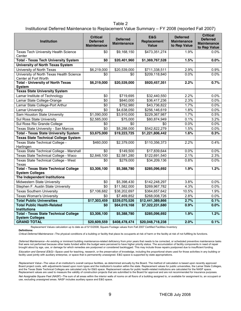Table 2 Institutional Deferred Maintenance to Replacement Value Summary – FY 2008 (reported Fall 2007)

| <b>Institution</b>                                                     | <b>Critical</b><br><b>Deferred</b><br><b>Maintenance</b> | <b>Deferred</b><br><b>Maintenance</b> | <b>E&amp;G</b><br>Replacement<br><b>Value</b> | <b>Deferred</b><br><b>Maintenance</b><br>to Rep Value | <b>Critical</b><br><b>Deferred</b><br><b>Maintenance</b><br>to Rep Value |
|------------------------------------------------------------------------|----------------------------------------------------------|---------------------------------------|-----------------------------------------------|-------------------------------------------------------|--------------------------------------------------------------------------|
| Texas Tech University Health Science<br>Center                         | \$0                                                      | \$9,168,150                           | \$473,351,274                                 | 1.9%                                                  | 0.0%                                                                     |
| <b>Total - Texas Tech University System</b>                            | \$0                                                      | \$20,401,960                          | \$1,369,767,528                               | 1.5%                                                  | $0.0\%$                                                                  |
| <b>University of North Texas System</b>                                |                                                          |                                       |                                               |                                                       |                                                                          |
| University of North Texas                                              | \$6,219,000                                              | \$20,539,000                          | \$711,338,511                                 | 2.9%                                                  | 0.9%                                                                     |
| University of North Texas Health Science<br>Center at Fort Worth       | \$0                                                      | \$0                                   | \$209,118,840                                 | 0.0%                                                  | 0.0%                                                                     |
| <b>Total - University of North Texas</b><br>System                     | \$6,219,000                                              | \$20,539,000                          | \$920,457,351                                 | 2.2%                                                  | 0.7%                                                                     |
| <b>Texas State University System</b>                                   |                                                          |                                       |                                               |                                                       |                                                                          |
| Lamar Institute of Technology                                          | \$0                                                      | \$719,695                             | \$32,440,550                                  | 2.2%                                                  | 0.0%                                                                     |
| Lamar State College-Orange                                             | $\overline{50}$                                          | \$840,000                             | \$36,417,236                                  | 2.3%                                                  | $0.0\%$                                                                  |
| Lamar State College-Port Arthur                                        | $\sqrt{6}$                                               | \$752,980                             | \$43,736,822                                  | 1.7%                                                  | 0.0%                                                                     |
| <b>Lamar University</b>                                                | \$0                                                      | \$4,638,050                           | \$256,146,619                                 | 1.8%                                                  | 0.0%                                                                     |
| Sam Houston State University                                           | \$1,090,000                                              | \$3,910,000                           | \$229,367,987                                 | 1.7%                                                  | 0.5%                                                                     |
| <b>Sul Ross State University</b>                                       | \$2,585,000                                              | \$75,000                              | \$80,874,949                                  | 0.1%                                                  | 3.2%                                                                     |
| Sul Ross Rio Grande College                                            | \$0                                                      | \$0                                   | \$0                                           | 0.0%                                                  | 0.0%                                                                     |
| Texas State University - San Marcos                                    | \$0                                                      | \$8,288,000                           | \$542,822,279                                 | 1.5%                                                  | 0.0%                                                                     |
| <b>Total - Texas State University System</b>                           | \$3,675,000                                              | \$19,223,725                          | \$1,221,806,442                               | 1.6%                                                  | 0.3%                                                                     |
| <b>Texas State Technical College System</b>                            |                                                          |                                       |                                               |                                                       |                                                                          |
| Texas State Technical College -<br>Harlingen                           | \$460.000                                                | \$2,379,000                           | \$110,356,373                                 | 2.2%                                                  | 0.4%                                                                     |
| Texas State Technical College - Marshall                               | \$0                                                      | \$149,500                             | \$17,839,644                                  | 0.0%                                                  | $0.0\%$                                                                  |
| Texas State Technical College - Waco                                   | \$2,846,100                                              | \$2,581,280                           | \$122,691,540                                 | 2.1%                                                  | 2.3%                                                                     |
| <b>Texas State Technical College - West</b><br>Texas                   | $\overline{50}$                                          | \$279,000                             | \$34,209,136                                  | 0.8%                                                  | 0.0%                                                                     |
| <b>Total - Texas State Technical College</b><br><b>System Colleges</b> | \$3,306,100                                              | \$5,388,780                           | \$285,096,692                                 | 1.9%                                                  | 1.2%                                                                     |
| The Independent Institutions                                           |                                                          |                                       |                                               |                                                       |                                                                          |
| Midwestern State University                                            | \$0                                                      | \$5,398,430                           | \$142,248,297                                 | 3.8%                                                  | 0.0%                                                                     |
| Stephen F. Austin State University                                     | $\overline{30}$                                          | \$11,582,000                          | \$269,967,782                                 | 4.3%                                                  | 0.0%                                                                     |
| <b>Texas Southern University</b>                                       | \$7,106,682                                              | \$38,202,697                          | \$364,657,642                                 | 10.5%                                                 | 1.9%                                                                     |
| <b>Texas Woman's University</b>                                        | \$0                                                      | \$7,469,852                           | \$268,008,726                                 | 2.8%                                                  | 0.0%                                                                     |
| <b>Total Public Universities</b>                                       | \$17,303,459                                             | \$339,070,526                         | \$12,441,389,866                              | 2.7%                                                  | 0.1%                                                                     |
| <b>Total Public Health-Related</b><br><b>Institutions</b>              | $\overline{50}$                                          | \$64,019,168                          | \$7,322,231,680                               | 0.9%                                                  | $0.0\%$                                                                  |
| <b>Total - Texas State Technical College</b><br><b>System Colleges</b> | \$3,306,100                                              | \$5,388,780                           | \$285,096,692                                 | 1.9%                                                  | 1.2%                                                                     |
| <b>GRAND TOTAL</b>                                                     | \$20,609,559                                             | \$408,478,474                         | \$20,048,718,238                              | 2.0%                                                  | 0.1%                                                                     |

**Definitions:** Replacement Values calculation up to date as of 5/13/2008, Square Footage values from Fall 2007 Certified Facilities Inventory

*Critical Deferred Maintenance* --The physical conditions of a building or facility that place its occupants at risk of harm or the facility at risk of not fulfilling its functions.

*Deferred Maintenance* --An existing or imminent building maintenance-related deficiency from prior years that needs to be corrected, or scheduled preventive maintenance tasks that were not performed because other tasks funded within the budget were perceived to have higher priority status. The accumulation of facility components in need of repair brought about by age, use, or damage for which remedies are postponed or considered backlogged. This may include those repairs postponed due to insufficient funding.

*Education and General (E&G)* --Space used for teaching, research, or the preservation of knowledge, including the proportional share used for those activities in any building or facility used jointly with auxiliary enterprise, or space that is permanently unassigned. E&G space is supported by state appropriations.

*Replacement Value* --The value of an institution's overall campus facilities, as determined annually by the Board. The method of calculation is based upon recently approved Board project costs, with adjustments based upon room types and the institution's location within the state. Replacement values for public universities, the Lamar State Colleges, and the Texas State Technical Colleges are calculated only for E&G space. Replacement values for public health-related institutions are calculated for the NASF space. Replacement values are used to measure the validity of construction projects that are submitted to the Board for approval and are not recommended for insurance purposes.

*Net Assignable Square Feet (NASF)* --The sum of all areas within the interior walls of rooms on all floors of a building assigned to, or available for assignment to, an occupant or use, excluding unassigned areas. NASF includes auxiliary space and E&G space.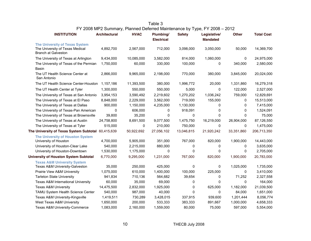| <b>INSTITUTION</b>                                                                                     | <b>Architectural</b> | <b>HVAC</b> | Plumbing/<br><b>Electrical</b> | <b>J</b> 11<br><b>Safety</b> | Legislative/<br><b>Mandated</b> | <b>Other</b> | <b>Total Cost</b> |
|--------------------------------------------------------------------------------------------------------|----------------------|-------------|--------------------------------|------------------------------|---------------------------------|--------------|-------------------|
| <b>The University of Texas System</b><br>The University of Texas Medical<br><b>Branch at Galveston</b> | 4,892,700            | 2,567,000   | 712,000                        | 3,098,000                    | 3,050,000                       | 50,000       | 14,369,700        |
| The University of Texas at Arlington                                                                   | 9,434,000            | 10,085,000  | 3,582,000                      | 814,000                      | 1,060,000                       | 0            | 24,975,000        |
| The University of Texas of the Permian                                                                 | 1,750,000            | 60,000      | 330,000                        | 100,000                      | 0                               | 340,000      | 2,580,000         |
| <b>Basin</b>                                                                                           |                      |             |                                |                              |                                 |              |                   |
| The UT Health Science Center at<br>San Antonio                                                         | 2,866,000            | 9,965,000   | 2,198,000                      | 770,000                      | 380,000                         | 3,845,000    | 20,024,000        |
| The UT Health Science Center-Houston                                                                   | 1,157,186            | 11,393,500  | 380,000                        | 1,996,772                    | 20,000                          | 1,331,860    | 16,279,318        |
| The UT Health Center at Tyler                                                                          | 1,300,000            | 550,000     | 550,000                        | 5,000                        | 0                               | 122,000      | 2,527,000         |
| The University of Texas at San Antonio                                                                 | 3,954,153            | 3,590,492   | 2,219,602                      | 1,270,202                    | 1,036,242                       | 759,000      | 12,829,691        |
| The University of Texas at El Paso                                                                     | 8,848,000            | 2,229,000   | 3,562,000                      | 719,000                      | 155,000                         | 0            | 15,513,000        |
| The University of Texas at Dallas                                                                      | 900,000              | 1,150,000   | 4,235,000                      | 1,130,000                    | 0                               | 0            | 7,415,000         |
| The University of Texas-Pan American                                                                   | 0                    | 606,000     | 0                              | 918,091                      | 0                               | 0            | 1,524,091         |
| The University of Texas at Brownsville                                                                 | 39,800               | 35,200      | 0                              | 0                            | 0                               | 0            | 75,000            |
| The University of Texas at Austin                                                                      | 24,758,800           | 8,691,500   | 9,077,500                      | 1,475,750                    | 16,219,000                      | 26,904,000   | 87,126,550        |
| The University of Texas at Tyler                                                                       | 515,000              | 0           | 210,000                        | 750,000                      | 0                               | 0            | 1,475,000         |
| The University of Texas System Subtotal 60,415,639                                                     |                      | 50,922,692  | 27,056,102                     | 13,046,815                   | 21,920,242                      | 33,351,860   | 206,713,350       |
| The University of Houston System<br>University of Houston                                              | 4,700,000            | 5,905,000   | 351,000                        | 767,000                      | 820,000                         | 1,900,000    | 14,443,000        |
| University of Houston-Clear Lake                                                                       | 540,000              | 2,215,000   | 880,000                        | 0                            | 0                               | 0            | 3,635,000         |
| University of Houston-Downtown                                                                         | 1,530,000            | 1,175,000   | 0                              | 0                            | 0                               | 0            | 2,705,000         |
| <b>University of Houston System Subtotal</b>                                                           | 6,770,000            | 9,295,000   | 1,231,000                      | 767,000                      | 820,000                         | 1,900,000    | 20,783,000        |
|                                                                                                        |                      |             |                                |                              |                                 |              |                   |
| <b>Texas A&amp;M University System</b><br>Texas A&M University-Galveston                               | 35,000               | 250,000     | 425,000                        | 0                            | 0                               | 1,025,000    | 1,735,000         |
| Prairie View A&M University                                                                            | 1,075,000            | 610,000     | 1,400,000                      | 100,000                      | 225,000                         | 0            | 3,410,000         |
| <b>Tarleton State University</b>                                                                       | 941,834              | 710,136     | 564,682                        | 39,654                       | 0                               | 71,252       | 2,327,558         |
| Texas A&M International University                                                                     | 60,000               | 35,000      | 69,000                         | 0                            | 0                               | 0            | 164,000           |
| <b>Texas A&amp;M University</b>                                                                        | 14,475,500           | 2,832,000   | 1,925,000                      | 0                            | 625,000                         | 1,182,000    | 21,039,500        |
| TAMU System Health Science Center                                                                      | 540,000              | 987,000     | 40,000                         | 0                            | 0                               | 84,000       | 1,651,000         |
| Texas A&M University-Kingsville                                                                        | 1,419,511            | 730,289     | 3,428,015                      | 337,915                      | 939,600                         | 1,201,444    | 8,056,774         |
| West Texas A&M University                                                                              | 1,650,000            | 200,000     | 533,333                        | 383,333                      | 891,667                         | 1,000,000    | 4,658,333         |
| Texas A&M University-Commerce                                                                          | 1,083,000            | 2,160,000   | 1,559,000                      | 80,000                       | 75,000                          | 597,000      | 5,554,000         |

#### Table 3 FY 2008 MP2 Summary, Planned Deferred Maintenance by Type, FY 2008 – 2012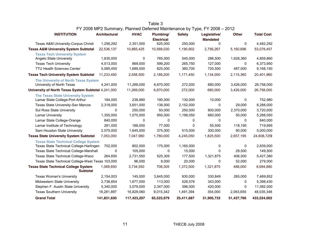| <b>INSTITUTION</b>                                             | <b>Architectural</b> | <b>HVAC</b> | Plumbing/<br><b>Electrical</b> | <b>Safety</b> | Legislative/<br><b>Mandated</b> | <b>Other</b> | <b>Total Cost</b> |
|----------------------------------------------------------------|----------------------|-------------|--------------------------------|---------------|---------------------------------|--------------|-------------------|
| Texas A&M University-Corpus Christi                            | 1,256,292            | 2,351,000   | 625,000                        | 250,000       | 0                               | 0            | 4,482,292         |
| <b>Texas A&amp;M University System Subtotal</b>                | 22,536,137           | 10,865,425  | 10,569,030                     | 1,190,902     | 2,756,267                       | 5,160,696    | 53,078,457        |
| <b>Texas Tech University System</b>                            |                      |             |                                |               |                                 |              |                   |
| Angelo State University                                        | 1,635,000            | 0           | 765,000                        | 545,000       | 286,500                         | 1,628,360    | 4,859,860         |
| <b>Texas Tech University</b>                                   | 4,513,000            | 869,000     | 599,200                        | 265,750       | 127,000                         | 0            | 6,373,950         |
| <b>TTU Health Sciences Center</b>                              | 5,085,450            | 1,689,500   | 825,000                        | 360,700       | 720,500                         | 487,000      | 9,168,150         |
| <b>Texas Tech University System Subtotal</b>                   | 11,233,450           | 2,558,500   | 2,189,200                      | 1,171,450     | 1,134,000                       | 2,115,360    | 20,401,960        |
| The University of North Texas System                           |                      |             |                                |               |                                 |              |                   |
| University of North Texas                                      | 4,241,000            | 11,269,000  | 6,870,000                      | 272,000       | 680,000                         | 3,426,000    | 26,758,000        |
| University of North Texas System Subtotal 4,241,000            |                      | 11,269,000  | 6,870,000                      | 272,000       | 680,000                         | 3,426,000    | 26,758,000        |
| <b>The Texas State University System</b>                       |                      |             |                                |               |                                 |              |                   |
| Lamar State College-Port Arthur                                | 184,000              | 238,980     | 190,000                        | 130,000       | 10,000                          | 0            | 752,980           |
| Texas State University-San Marcos                              | 2,318,000            | 3,651,000   | 138,000                        | 2,152,000     | 0                               | 29,000       | 8,288,000         |
| Sul Ross State University                                      | 0                    | 250,000     | 50,000                         | 250,000       | 800,000                         | 2,370,000    | 3,720,000         |
| <b>Lamar University</b>                                        | 1,355,000            | 1,075,000   | 950,000                        | 1,198,050     | 660,000                         | 50,000       | 5,288,050         |
| Lamar State College-Orange                                     | 840,000              | 0           | 0                              | 0             | 0                               | 0            | 840,000           |
| Lamar Institute of Technology                                  | 281,000              | 188,000     | 77,000                         | 0             | 55,500                          | 118,195      | 719,695           |
| Sam Houston State University                                   | 2,075,000            | 1,645,000   | 375,000                        | 515,000       | 300,000                         | 90,000       | 5,000,000         |
| <b>Texas State University System Subtotal</b>                  | 7,053,000            | 7,047,980   | 1,780,000                      | 4,245,050     | 1,825,500                       | 2,657,195    | 24,608,725        |
| <b>Texas State Technical College System</b>                    |                      |             |                                |               |                                 |              |                   |
| Texas State Technical College-Harlingen                        | 702,000              | 802,000     | 175,000                        | 1,160,000     | 0                               | 0            | 2,839,000         |
| <b>Texas State Technical College-Marshall</b>                  | $\mathbf{0}$         | 105,000     | 0                              | 15,000        | 0                               | 29,500       | 149,500           |
| Texas State Technical College-Waco                             | 264,650              | 2,731,550   | 525,305                        | 177,500       | 1,321,875                       | 406,500      | 5,427,380         |
| Texas State Technical College-West Texas 103,000               |                      | 96,000      | 8,000                          | 20,000        | 0                               | 52,000       | 279,000           |
| <b>Texas State Technical College System</b><br><b>Subtotal</b> | 1,069,650            | 3,734,550   | 708,305                        | 1,372,500     | 1,321,875                       | 488,000      | 8,694,880         |
| <b>Texas Woman's University</b>                                | 2,154,003            | 145,000     | 3,645,000                      | 930,000       | 330,849                         | 265,000      | 7,469,852         |
| Midwestern State University                                    | 2,736,854            | 1,677,000   | 113,000                        | 528,576       | 343,000                         | 0            | 5,398,430         |
| Stephen F. Austin State University                             | 5,340,000            | 3,079,000   | 2,347,000                      | 396,000       | 420,000                         | 0            | 11,582,000        |
| <b>Texas Southern University</b>                               | 18,281,897           | 16,829,060  | 9,015,342                      | 1,491,394     | 354,000                         | 2,063,655    | 48,035,348        |
| <b>Grand Total</b>                                             | 141,831,630          | 117,423,207 | 65,523,979                     | 25,411,687    | 31,905,733                      | 51,427,766   | 433,524,002       |

#### Table 3 FY 2008 MP2 Summary, Planned Deferred Maintenance by Type, FY 2008 – 2012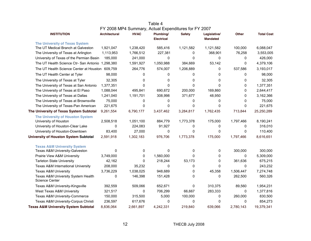|                                                             |                      | FY 2008 MP4 Summary, Actual Expenditures for FY 2007 |                         |               |                                 |           |                   |
|-------------------------------------------------------------|----------------------|------------------------------------------------------|-------------------------|---------------|---------------------------------|-----------|-------------------|
| <b>INSTITUTION</b>                                          | <b>Architectural</b> | <b>HVAC</b>                                          | Plumbing/<br>Electrical | <b>Safety</b> | Legislative/<br><b>Mandated</b> | Other     | <b>Total Cost</b> |
| <b>The University of Texas System</b>                       |                      |                                                      |                         |               |                                 |           |                   |
| The UT Medical Branch at Galveston                          | 1,921,047            | 1,238,420                                            | 585,416                 | 1,121,582     | 1,121,582                       | 100,000   | 6,088,047         |
| The University of Texas at Arlington                        | 1,113,953            | 1,766,512                                            | 227,381                 | 0             | 368,901                         | 76,258    | 3,553,005         |
| University of Texas of the Permian Basin                    | 185,000              | 241,000                                              | 0                       | 0             | 0                               | 0         | 426,000           |
| The UT Health Science Ctr- San Antonio                      | 1,298,380            | 1,591,927                                            | 1,050,988               | 384,669       | 53,142                          | 0         | 4,379,106         |
| The UT Health Science Center at Houston 609,759             |                      | 264,776                                              | 574,007                 | 1,206,889     | 0                               | 537,586   | 3,193,017         |
| The UT Health Center at Tyler                               | 98,000               | 0                                                    | 0                       | 0             | 0                               | 0         | 98,000            |
| The University of Texas at Tyler                            | 32,305               | 0                                                    | 0                       | 0             | 0                               | 0         | 32,305            |
| The University of Texas at San Antonio                      | 1,377,351            | 0                                                    | $\Omega$                | $\mathbf 0$   | $\mathbf{0}$                    | 0         | 1,377,351         |
| The University of Texas at El Paso                          | 1,088,044            | 495,841                                              | 690,672                 | 200,000       | 169,860                         | 0         | 2,644,417         |
| The University of Texas at Dallas                           | 1,241,040            | 1,191,701                                            | 308,998                 | 371,677       | 48,950                          | 0         | 3,162,366         |
| The University of Texas at Brownsville                      | 75,000               | 0                                                    | 0                       | 0             | 0                               | 0         | 75,000            |
| The University of Texas-Pan American                        | 221,675              | 0                                                    | 0                       | 0             | $\mathbf 0$                     | 0         | 221,675           |
| The University of Texas System Subtotal                     | 9,261,554            | 6,790,177                                            | 3,437,462               | 3,284,817     | 1,762,435                       | 713,844   | 25,250,289        |
| The University of Houston System                            |                      |                                                      |                         |               |                                 |           |                   |
| University of Houston                                       | 2,508,518            | 1,051,100                                            | 884,779                 | 1,773,378     | 175,000                         | 1,797,466 | 8,190,241         |
| University of Houston-Clear Lake                            | 0                    | 224,083                                              | 91,927                  | 0             | 0                               | 0         | 316,010           |
| University of Houston-Downtown                              | 83,400               | 27,000                                               | 0                       | 0             | 0                               | 0         | 110,400           |
| <b>University of Houston System Subtotal</b>                | 2,591,918            | 1,302,183                                            | 976,706                 | 1,773,378     | 175,000                         | 1,797,466 | 8,616,651         |
| <b>Texas A&amp;M University System</b>                      |                      |                                                      |                         |               |                                 |           |                   |
| Texas A&M University-Galveston                              | $\mathbf{0}$         | 0                                                    | 0                       | 0             | 0                               | 300,000   | 300,000           |
| Prairie View A&M University                                 | 3,749,000            | 0                                                    | 1,560,000               | 0             | $\mathbf{0}$                    | 0         | 5,309,000         |
| <b>Tarleton State University</b>                            | 42,162               | 0                                                    | 218,244                 | 53,173        | 0                               | 361,636   | 675,215           |
| <b>Texas A&amp;M International University</b>               | 208,000              | 35,232                                               | $\mathbf 0$             | 0             | $\Omega$                        | 0         | 243,232           |
| <b>Texas A&amp;M University</b>                             | 3,736,229            | 1,038,025                                            | 948,689                 | 0             | 45,358                          | 1,506,447 | 7,274,748         |
| Texas A&M University System Health<br><b>Science Center</b> | $\mathbf{0}$         | 146,398                                              | 151,428                 | 0             | 0                               | 262,500   | 560,326           |
| Texas A&M University-Kingsville                             | 392,559              | 509,066                                              | 652,671                 | 0             | 310,375                         | 89,560    | 1,954,231         |
| West Texas A&M University                                   | 321,517              | 0                                                    | 706,299                 | 66,667        | 283,333                         | 0         | 1,377,816         |
| Texas A&M University-Commerce                               | 150,000              | 315,500                                              | 5,000                   | 100,000       | 0                               | 260,000   | 830,500           |
| Texas A&M University-Corpus Christi                         | 236,597              | 617,676                                              | 0                       | 0             | 0                               | 0         | 854,273           |
| <b>Texas A&amp;M University System Subtotal</b>             | 8,836,064            | 2,661,897                                            | 4,242,331               | 219,840       | 639,066                         | 2,780,143 | 19,379,341        |

| Table 4                                              |
|------------------------------------------------------|
| FY 2008 MP4 Summary, Actual Expenditures for FY 2007 |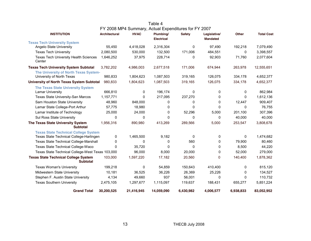|                                                                |                      | FY 2008 MP4 Summary, Actual Expenditures for FY 2007 |                                |               |                                 |           |                   |
|----------------------------------------------------------------|----------------------|------------------------------------------------------|--------------------------------|---------------|---------------------------------|-----------|-------------------|
| <b>INSTITUTION</b>                                             | <b>Architectural</b> | <b>HVAC</b>                                          | Plumbing/<br><b>Electrical</b> | <b>Safety</b> | Legislative/<br><b>Mandated</b> | Other     | <b>Total Cost</b> |
| <b>Texas Tech University System</b>                            |                      |                                                      |                                |               |                                 |           |                   |
| Angelo State University                                        | 55,450               | 4,418,028                                            | 2,316,304                      | 0             | 97,490                          | 192,218   | 7,079,490         |
| <b>Texas Tech University</b>                                   | 2,080,500            | 530,000                                              | 132,500                        | 171,006       | 484,551                         | $\Omega$  | 3,398,557         |
| Texas Tech University Health Sciences<br>Center                | 1,646,252            | 37,975                                               | 228,714                        | 0             | 92,903                          | 71,760    | 2,077,604         |
| <b>Texas Tech University System Subtotal</b>                   | 3,782,202            | 4,986,003                                            | 2,677,518                      | 171,006       | 674,944                         | 263,978   | 12,555,651        |
| The University of North Texas System-                          |                      |                                                      |                                |               |                                 |           |                   |
| University of North Texas                                      | 980,833              | 1,804,623                                            | 1,087,503                      | 319,165       | 126,075                         | 334,178   | 4,652,377         |
| <b>University of North Texas System Subtotal</b>               | 980,833              | 1,804,623                                            | 1,087,503                      | 319,165       | 126,075                         | 334,178   | 4,652,377         |
| <b>The Texas State University System</b>                       |                      |                                                      |                                |               |                                 |           |                   |
| <b>Lamar University</b>                                        | 666,810              | 0                                                    | 196,174                        | 0             | 0                               | 0         | 862,984           |
| Texas State University-San Marcos                              | 1,157,771            | 0                                                    | 217,095                        | 237,270       | 0                               | $\Omega$  | 1,612,136         |
| Sam Houston State University                                   | 48,960               | 848,000                                              | 0                              | 0             | 0                               | 12,447    | 909,407           |
| Lamar State College-Port Arthur                                | 57,775               | 18,980                                               | 0                              | 0             | 0                               | 0         | 76,755            |
| Lamar Institute of Technology                                  | 25,000               | 24,000                                               | 0                              | 52,296        | 5,000                           | 201,100   | 307,396           |
| Sul Ross State University                                      | 0                    | 0                                                    | $\Omega$                       | $\Omega$      | 0                               | 40,000    | 40,000            |
| The Texas State University System<br><b>Subtotal</b>           | 1,956,316            | 890,980                                              | 413,269                        | 289,566       | 5,000                           | 253,547   | 3,808,678         |
| <b>Texas State Technical College System</b>                    |                      |                                                      |                                |               |                                 |           |                   |
| Texas State Technical College-Harlingen                        | 0                    | 1,465,500                                            | 9,182                          | 0             | 0                               | 0         | 1,474,682         |
| <b>Texas State Technical College-Marshall</b>                  | 0                    | 0                                                    | 0                              | 560           | 0                               | 79,900    | 80,460            |
| Texas State Technical College-Waco                             | 0                    | 35,720                                               | 0                              | $\Omega$      | 0                               | 8,500     | 44,220            |
| Texas State Technical College-West Texas 103,000               |                      | 96,000                                               | 8,000                          | 20,000        | 0                               | 52,000    | 279,000           |
| <b>Texas State Technical College System</b><br><b>Subtotal</b> | 103,000              | 1,597,220                                            | 17,182                         | 20,560        | 0                               | 140,400   | 1,878,362         |
| <b>Texas Woman's University</b>                                | 199,218              | 0                                                    | 54,859                         | 150,643       | 410,400                         | 0         | 815,120           |
| Midwestern State University                                    | 10,181               | 36,525                                               | 36,226                         | 26,369        | 25,226                          | 0         | 134,527           |
| Stephen F. Austin State University                             | 4,134                | 49,660                                               | 937                            | 56,001        | 0                               | 0         | 110,732           |
| <b>Texas Southern University</b>                               | 2,475,105            | 1,297,677                                            | 1,115,097                      | 119,637       | 188,431                         | 655,277   | 5,851,224         |
| <b>Grand Total</b>                                             | 30,200,525           | 21,416,945                                           | 14,059,090                     | 6,430,982     | 4,006,577                       | 6,938,833 | 83,052,952        |

Table 4